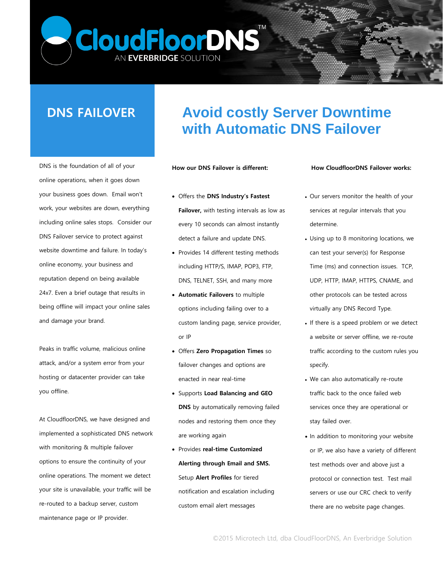DNS is the foundation of all of your online operations, when it goes down your business goes down. Email won't work, your websites are down, everything including online sales stops. Consider our DNS Failover service to protect against website downtime and failure. In today's online economy, your business and reputation depend on being available 24x7. Even a brief outage that results in being offline will impact your online sales and damage your brand.

Peaks in traffic volume, malicious online attack, and/or a system error from your hosting or datacenter provider can take you offline.

At CloudfloorDNS, we have designed and implemented a sophisticated DNS network with monitoring & multiple failover options to ensure the continuity of your online operations. The moment we detect your site is unavailable, your traffic will be re-routed to a backup server, custom maintenance page or IP provider.

## **DNS FAILOVER Avoid costly Server Downtime with Automatic DNS Failover**

**How our DNS Failover is different:** 

**CloudFloorDNS** 

AN EVERBRIDGE SOLUTION

- Offers the **DNS Industry's Fastest Failover,** with testing intervals as low as every 10 seconds can almost instantly detect a failure and update DNS.
- Provides 14 different testing methods including HTTP/S, IMAP, POP3, FTP, DNS, TELNET, SSH, and many more
- **Automatic Failovers** to multiple options including failing over to a custom landing page, service provider, or IP
- Offers **Zero Propagation Times** so failover changes and options are enacted in near real-time
- Supports **Load Balancing and GEO DNS** by automatically removing failed nodes and restoring them once they are working again
- Provides **real-time Customized Alerting through Email and SMS.** Setup **Alert Profiles** for tiered notification and escalation including custom email alert messages

## **How CloudfloorDNS Failover works:**

- Our servers monitor the health of your services at regular intervals that you determine.
- Using up to 8 monitoring locations, we can test your server(s) for Response Time (ms) and connection issues. TCP, UDP, HTTP, IMAP, HTTPS, CNAME, and other protocols can be tested across virtually any DNS Record Type.
- If there is a speed problem or we detect a website or server offline, we re-route traffic according to the custom rules you specify.
- We can also automatically re-route traffic back to the once failed web services once they are operational or stay failed over.
- In addition to monitoring your website or IP, we also have a variety of different test methods over and above just a protocol or connection test. Test mail servers or use our CRC check to verify there are no website page changes.